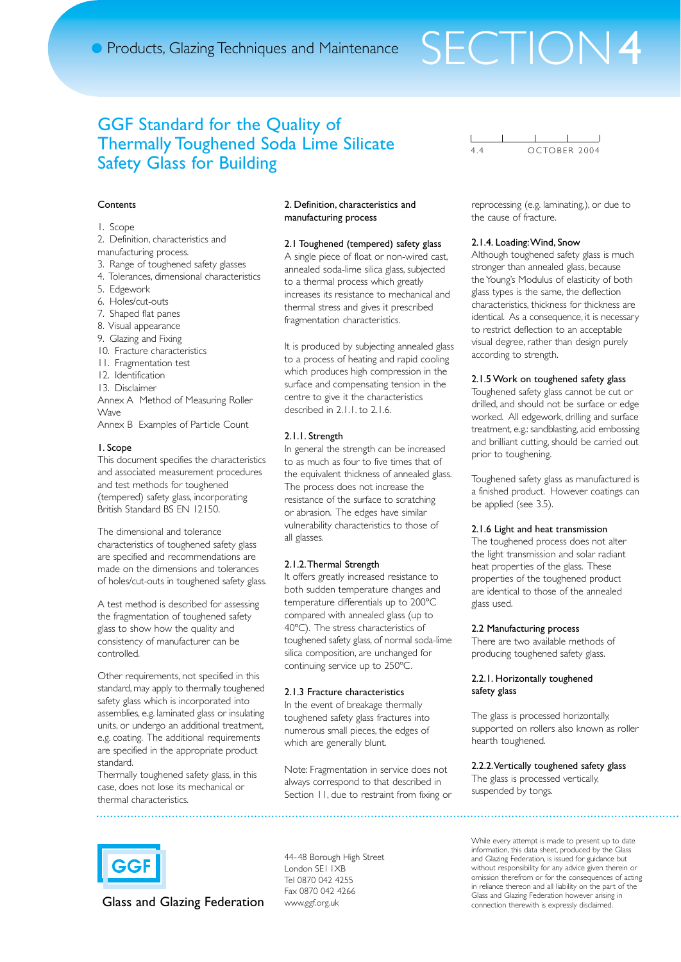## GGF Standard for the Quality of Thermally Toughened Soda Lime Silicate Safety Glass for Building

## **Contents**

#### 1. Scope

- 2. Definition, characteristics and
- manufacturing process.
- 3. Range of toughened safety glasses
- 4. Tolerances, dimensional characteristics
- 5. Edgework
- 6. Holes/cut-outs
- 7. Shaped flat panes
- 8. Visual appearance
- 9. Glazing and Fixing
- 10. Fracture characteristics
- 11. Fragmentation test
- 12. Identification
- 13. Disclaimer

Annex A Method of Measuring Roller Wave

Annex B Examples of Particle Count

#### 1. Scope

This document specifies the characteristics and associated measurement procedures and test methods for toughened (tempered) safety glass, incorporating British Standard BS EN 12150.

The dimensional and tolerance characteristics of toughened safety glass are specified and recommendations are made on the dimensions and tolerances of holes/cut-outs in toughened safety glass.

A test method is described for assessing the fragmentation of toughened safety glass to show how the quality and consistency of manufacturer can be controlled.

Other requirements, not specified in this standard, may apply to thermally toughened safety glass which is incorporated into assemblies, e.g. laminated glass or insulating units, or undergo an additional treatment, e.g. coating. The additional requirements are specified in the appropriate product standard.

Thermally toughened safety glass, in this case, does not lose its mechanical or thermal characteristics.

## 2. Definition, characteristics and manufacturing process

## 2.1 Toughened (tempered) safety glass

A single piece of float or non-wired cast, annealed soda-lime silica glass, subjected to a thermal process which greatly increases its resistance to mechanical and thermal stress and gives it prescribed fragmentation characteristics.

It is produced by subjecting annealed glass to a process of heating and rapid cooling which produces high compression in the surface and compensating tension in the centre to give it the characteristics described in 2.1.1. to 2.1.6.

## 2.1.1. Strength

In general the strength can be increased to as much as four to five times that of the equivalent thickness of annealed glass. The process does not increase the resistance of the surface to scratching or abrasion. The edges have similar vulnerability characteristics to those of all glasses.

## 2.1.2.Thermal Strength

It offers greatly increased resistance to both sudden temperature changes and temperature differentials up to 200ºC compared with annealed glass (up to 40ºC). The stress characteristics of toughened safety glass, of normal soda-lime silica composition, are unchanged for continuing service up to 250ºC.

#### 2.1.3 Fracture characteristics

In the event of breakage thermally toughened safety glass fractures into numerous small pieces, the edges of which are generally blunt.

Note: Fragmentation in service does not always correspond to that described in Section 11, due to restraint from fixing or OCTOBER 2004

reprocessing (e.g. laminating,), or due to the cause of fracture.

#### 2.1.4. Loading:Wind, Snow

Although toughened safety glass is much stronger than annealed glass, because the Young's Modulus of elasticity of both glass types is the same, the deflection characteristics, thickness for thickness are identical. As a consequence, it is necessary to restrict deflection to an acceptable visual degree, rather than design purely according to strength.

#### 2.1.5 Work on toughened safety glass

Toughened safety glass cannot be cut or drilled, and should not be surface or edge worked. All edgework, drilling and surface treatment, e.g.: sandblasting, acid embossing and brilliant cutting, should be carried out prior to toughening.

Toughened safety glass as manufactured is a finished product. However coatings can be applied (see 3.5).

#### 2.1.6 Light and heat transmission

The toughened process does not alter the light transmission and solar radiant heat properties of the glass. These properties of the toughened product are identical to those of the annealed glass used.

#### 2.2 Manufacturing process

There are two available methods of producing toughened safety glass.

#### 2.2.1. Horizontally toughened safety glass

The glass is processed horizontally, supported on rollers also known as roller hearth toughened.

#### 2.2.2.Vertically toughened safety glass

The glass is processed vertically, suspended by tongs.



Glass and Glazing Federation www.ggf.org.uk

44-48 Borough High Street London SE1 1XB Tel 0870 042 4255 Fax 0870 042 4266

While every attempt is made to present up to date information, this data sheet, produced by the Glass and Glazing Federation, is issued for guidance but without responsibility for any advice given therein or omission therefrom or for the consequences of acting in reliance thereon and all liability on the part of the Glass and Glazing Federation however arising in connection therewith is expressly disclaimed.

# SECTION4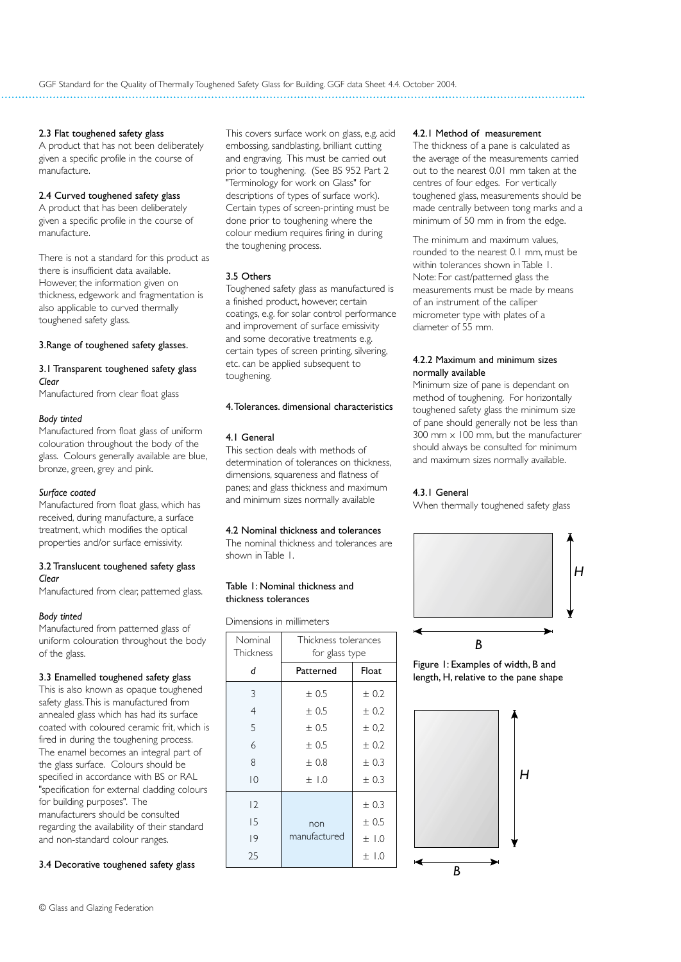## 2.3 Flat toughened safety glass

A product that has not been deliberately given a specific profile in the course of manufacture.

## 2.4 Curved toughened safety glass

A product that has been deliberately given a specific profile in the course of manufacture.

There is not a standard for this product as there is insufficient data available. However, the information given on thickness, edgework and fragmentation is also applicable to curved thermally toughened safety glass.

## 3.Range of toughened safety glasses.

## 3.1 Transparent toughened safety glass *Clear*

Manufactured from clear float glass

## *Body tinted*

Manufactured from float glass of uniform colouration throughout the body of the glass. Colours generally available are blue, bronze, green, grey and pink.

## *Surface coated*

Manufactured from float glass, which has received, during manufacture, a surface treatment, which modifies the optical properties and/or surface emissivity.

## 3.2 Translucent toughened safety glass *Clear*

Manufactured from clear, patterned glass.

## *Body tinted*

Manufactured from patterned glass of uniform colouration throughout the body of the glass.

## 3.3 Enamelled toughened safety glass

This is also known as opaque toughened safety glass.This is manufactured from annealed glass which has had its surface coated with coloured ceramic frit, which is fired in during the toughening process. The enamel becomes an integral part of the glass surface. Colours should be specified in accordance with BS or RAL "specification for external cladding colours for building purposes". The manufacturers should be consulted regarding the availability of their standard and non-standard colour ranges.

## 3.4 Decorative toughened safety glass

This covers surface work on glass, e.g. acid embossing, sandblasting, brilliant cutting and engraving. This must be carried out prior to toughening. (See BS 952 Part 2 "Terminology for work on Glass" for descriptions of types of surface work). Certain types of screen-printing must be done prior to toughening where the colour medium requires firing in during the toughening process.

## 3.5 Others

Toughened safety glass as manufactured is a finished product, however, certain coatings, e.g. for solar control performance and improvement of surface emissivity and some decorative treatments e.g. certain types of screen printing, silvering, etc. can be applied subsequent to toughening.

## 4.Tolerances. dimensional characteristics

## 4.1 General

This section deals with methods of determination of tolerances on thickness, dimensions, squareness and flatness of panes; and glass thickness and maximum and minimum sizes normally available

## 4.2 Nominal thickness and tolerances

The nominal thickness and tolerances are shown in Table 1.

#### Table 1: Nominal thickness and thickness tolerances

Dimensions in millimeters

| Nominal<br>Thickness | Thickness tolerances<br>for glass type |           |
|----------------------|----------------------------------------|-----------|
| d                    | Patterned                              | Float     |
| 3                    | ± 0.5                                  | ± 0.2     |
| $\overline{4}$       | ± 0.5                                  | $+0.2$    |
| 5                    | $+0.5$                                 | ± 0.2     |
| 6                    | ± 0.5                                  | $+0.2$    |
| 8                    | ±0.8                                   | ± 0.3     |
| $\overline{0}$       | ±1.0                                   | ± 0.3     |
| 12                   |                                        | ± 0.3     |
| 15                   | non                                    | $+0.5$    |
| 9                    | manufactured                           | $+1.0$    |
| 25                   |                                        | $\pm$ 1.0 |

## 4.2.1 Method of measurement

The thickness of a pane is calculated as the average of the measurements carried out to the nearest 0.01 mm taken at the centres of four edges. For vertically toughened glass, measurements should be made centrally between tong marks and a minimum of 50 mm in from the edge.

The minimum and maximum values, rounded to the nearest 0.1 mm, must be within tolerances shown in Table 1. Note: For cast/patterned glass the measurements must be made by means of an instrument of the calliper micrometer type with plates of a diameter of 55 mm.

## 4.2.2 Maximum and minimum sizes normally available

Minimum size of pane is dependant on method of toughening. For horizontally toughened safety glass the minimum size of pane should generally not be less than 300 mm  $\times$  100 mm, but the manufacturer should always be consulted for minimum and maximum sizes normally available.

## 4.3.1 General

When thermally toughened safety glass





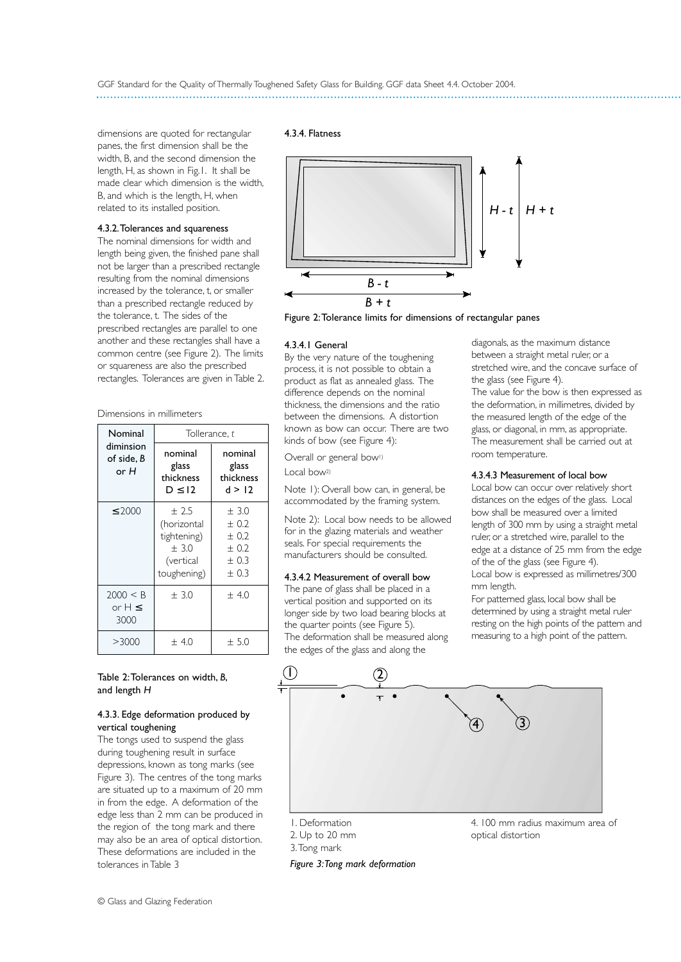dimensions are quoted for rectangular panes, the first dimension shall be the width, B, and the second dimension the length, H, as shown in Fig.1. It shall be made clear which dimension is the width, B, and which is the length, H, when related to its installed position.

## 4.3.2.Tolerances and squareness

The nominal dimensions for width and length being given, the finished pane shall not be larger than a prescribed rectangle resulting from the nominal dimensions increased by the tolerance, t, or smaller than a prescribed rectangle reduced by the tolerance, t. The sides of the prescribed rectangles are parallel to one another and these rectangles shall have a common centre (see Figure 2). The limits or squareness are also the prescribed rectangles. Tolerances are given in Table 2.

Dimensions in millimeters

| Nominal                         | Tollerance, t                                                              |                                                         |  |
|---------------------------------|----------------------------------------------------------------------------|---------------------------------------------------------|--|
| diminsion<br>of side. B<br>or H | nominal<br>glass<br>thickness<br>$D \leq 12$                               | nominal<br>glass<br>thickness<br>d > 12                 |  |
| $\leq 2000$                     | $+2.5$<br>(horizontal<br>tightening)<br>$+3.0$<br>(vertical<br>toughening) | $+3.0$<br>$+0.2$<br>± 0,2<br>$+0.2$<br>$+0.3$<br>$+0.3$ |  |
| 2000 < B<br>or $H \leq$<br>3000 | $+3.0$                                                                     | ± 4.0                                                   |  |
| >3000                           | ±4.0                                                                       | ± 5.0                                                   |  |

## Table 2:Tolerances on width, *B*, and length *H*

### 4.3.3. Edge deformation produced by vertical toughening

The tongs used to suspend the glass during toughening result in surface depressions, known as tong marks (see Figure 3). The centres of the tong marks are situated up to a maximum of 20 mm in from the edge. A deformation of the edge less than 2 mm can be produced in the region of the tong mark and there may also be an area of optical distortion. These deformations are included in the tolerances in Table 3

## 4.3.4. Flatness



Figure 2:Tolerance limits for dimensions of rectangular panes

#### 4.3.4.1 General

By the very nature of the toughening process, it is not possible to obtain a product as flat as annealed glass. The difference depends on the nominal thickness, the dimensions and the ratio between the dimensions. A distortion known as bow can occur. There are two kinds of bow (see Figure 4):

Overall or general bow<sup>1)</sup>

Local bow2)

Note 1): Overall bow can, in general, be accommodated by the framing system.

Note 2): Local bow needs to be allowed for in the glazing materials and weather seals. For special requirements the manufacturers should be consulted.

#### 4.3.4.2 Measurement of overall bow

The pane of glass shall be placed in a vertical position and supported on its longer side by two load bearing blocks at the quarter points (see Figure 5). The deformation shall be measured along the edges of the glass and along the

diagonals, as the maximum distance between a straight metal ruler, or a stretched wire, and the concave surface of the glass (see Figure 4).

The value for the bow is then expressed as the deformation, in millimetres, divided by the measured length of the edge of the glass, or diagonal, in mm, as appropriate. The measurement shall be carried out at room temperature.

## 4.3.4.3 Measurement of local bow

Local bow can occur over relatively short distances on the edges of the glass. Local bow shall be measured over a limited length of 300 mm by using a straight metal ruler, or a stretched wire, parallel to the edge at a distance of 25 mm from the edge of the of the glass (see Figure 4). Local bow is expressed as millimetres/300 mm length.

For patterned glass, local bow shall be determined by using a straight metal ruler resting on the high points of the pattern and measuring to a high point of the pattern.



2. Up to 20 mm

3.Tong mark

*Figure 3:Tong mark deformation*

4. 100 mm radius maximum area of optical distortion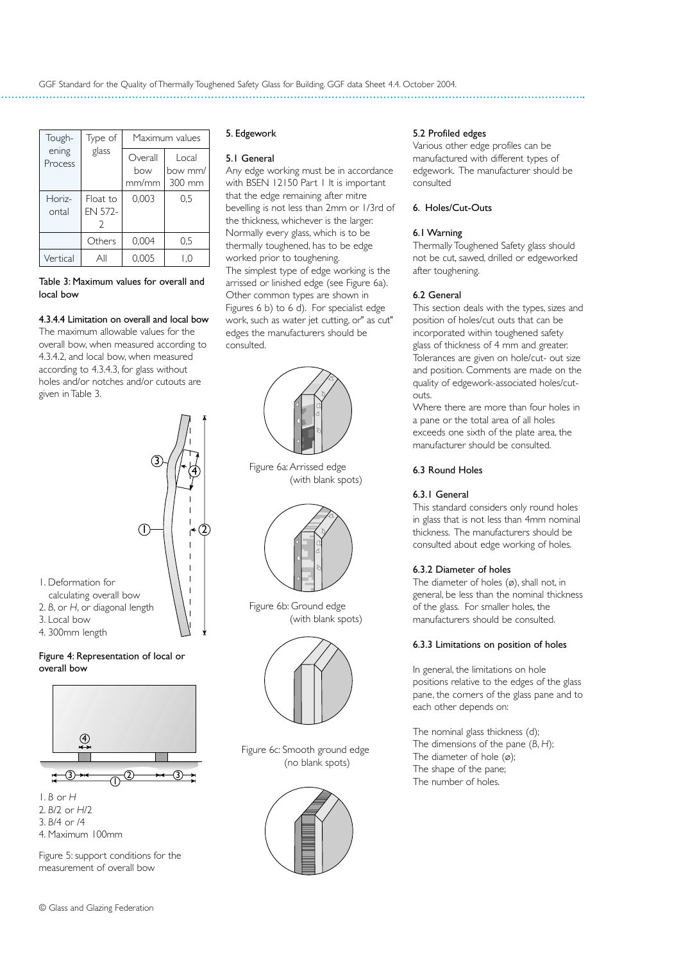| Tough-           | Type of                    | Maximum values          |                            |
|------------------|----------------------------|-------------------------|----------------------------|
| ening<br>Process | glass                      | Overall<br>how<br>mm/mm | Local<br>how mm/<br>300 mm |
| Horiz-<br>ontal  | Float to<br><b>EN 572-</b> | 0,003                   | 0.5                        |
|                  | Others                     | 0,004                   | 0,5                        |
| Vertical         | Αll                        | 0.005                   | 1.0                        |

Table 3: Maximum values for overall and local bow

## 4.3.4.4 Limitation on overall and local bow

The maximum allowable values for the overall bow, when measured according to 4.3.4.2, and local bow, when measured according to 4.3.4.3, for glass without holes and/or notches and/or cutouts are given in Table 3.

4

3

## 5. Edgework

## 5.1 General

Any edge working must be in accordance with BSEN 12150 Part 1 It is important that the edge remaining after mitre bevelling is not less than 2mm or 1/3rd of the thickness, whichever is the larger. Normally every glass, which is to be thermally toughened, has to be edge worked prior to toughening. The simplest type of edge working is the arrissed or linished edge (see Figure 6a). Other common types are shown in Figures 6 b) to 6 d). For specialist edge work, such as water jet cutting, or" as cut" edges the manufacturers should be consulted.



Figure 6a: Arrissed edge (with blank spots)



Figure 6b: Ground edge (with blank spots)



Figure 6c: Smooth ground edge (no blank spots)



## 5.2 Profiled edges

Various other edge profiles can be manufactured with different types of edgework. The manufacturer should be consulted

## 6. Holes/Cut-Outs

## 6.1 Warning

Thermally Toughened Safety glass should not be cut, sawed, drilled or edgeworked after toughening.

## 6.2 General

This section deals with the types, sizes and position of holes/cut outs that can be incorporated within toughened safety glass of thickness of 4 mm and greater. Tolerances are given on hole/cut- out size and position. Comments are made on the quality of edgework-associated holes/cutouts.

Where there are more than four holes in a pane or the total area of all holes exceeds one sixth of the plate area, the manufacturer should be consulted.

## 6.3 Round Holes

## 6.3.1 General

This standard considers only round holes in glass that is not less than 4mm nominal thickness. The manufacturers should be consulted about edge working of holes.

## 6.3.2 Diameter of holes

The diameter of holes (ø), shall not, in general, be less than the nominal thickness of the glass. For smaller holes, the manufacturers should be consulted.

## 6.3.3 Limitations on position of holes

In general, the limitations on hole positions relative to the edges of the glass pane, the corners of the glass pane and to each other depends on:

The nominal glass thickness (d); The dimensions of the pane (*B*, *H*); The diameter of hole  $(\emptyset)$ ; The shape of the pane; The number of holes.



- 4. 300mm length
- 

## Figure 4: Representation of local or overall bow



2. *B*/2 or *H*/2 3. *B*/4 or /4 4. Maximum 100mm

Figure 5: support conditions for the measurement of overall bow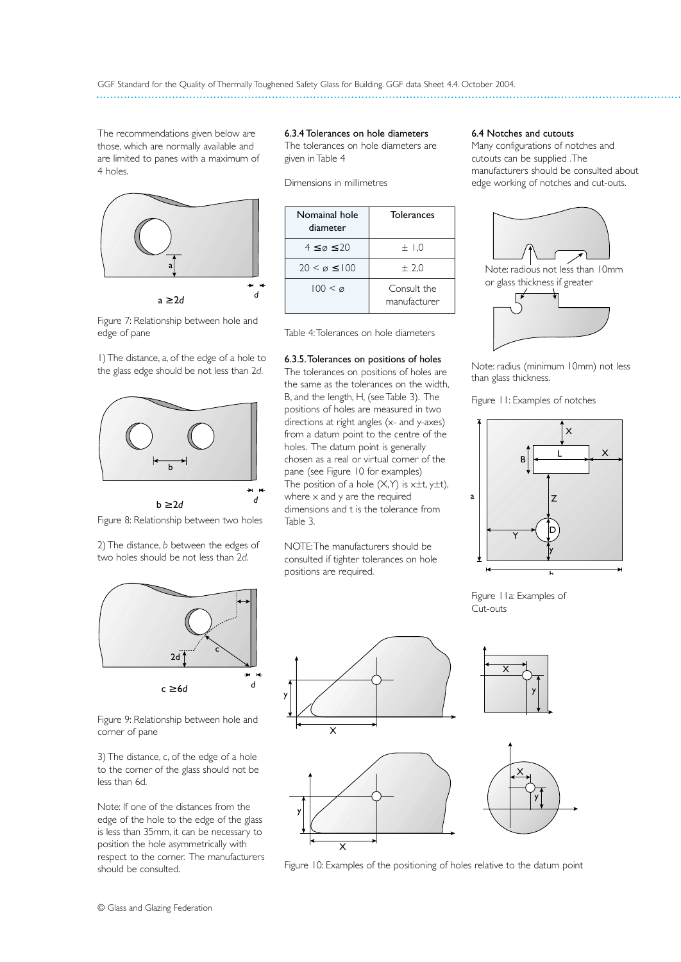The recommendations given below are those, which are normally available and are limited to panes with a maximum of 4 holes.



*<sup>d</sup>* a ≥ 2*d*

Figure 7: Relationship between hole and edge of pane

1) The distance, a, of the edge of a hole to the glass edge should be not less than 2*d*.





2) The distance, *b* between the edges of two holes should be not less than 2*d*.



Figure 9: Relationship between hole and corner of pane

3) The distance, c, of the edge of a hole to the corner of the glass should not be less than 6d.

Note: If one of the distances from the edge of the hole to the edge of the glass is less than 35mm, it can be necessary to position the hole asymmetrically with respect to the corner. The manufacturers should be consulted.

6.3.4 Tolerances on hole diameters The tolerances on hole diameters are given in Table 4

Dimensions in millimetres

| Nomainal hole<br>diameter | <b>Tolerances</b>           |
|---------------------------|-----------------------------|
| $4 \leq \varphi \leq 20$  | ±1.0                        |
| $20 < \emptyset \le 100$  | ± 2,0                       |
| $100 < \varnothing$       | Consult the<br>manufacturer |

Table 4:Tolerances on hole diameters

## 6.3.5.Tolerances on positions of holes

The tolerances on positions of holes are the same as the tolerances on the width, B, and the length, H, (see Table 3). The positions of holes are measured in two directions at right angles (x- and y-axes) from a datum point to the centre of the holes. The datum point is generally chosen as a real or virtual corner of the pane (see Figure 10 for examples) The position of a hole  $(X, Y)$  is  $x \pm t$ ,  $y \pm t$ ), where  $\times$  and  $\times$  are the required dimensions and t is the tolerance from Table 3.

NOTE:The manufacturers should be consulted if tighter tolerances on hole positions are required.

## 6.4 Notches and cutouts

Many configurations of notches and cutouts can be supplied .The manufacturers should be consulted about edge working of notches and cut-outs.





Note: radius (minimum 10mm) not less than glass thickness.

Figure 11: Examples of notches







Figure 10: Examples of the positioning of holes relative to the datum point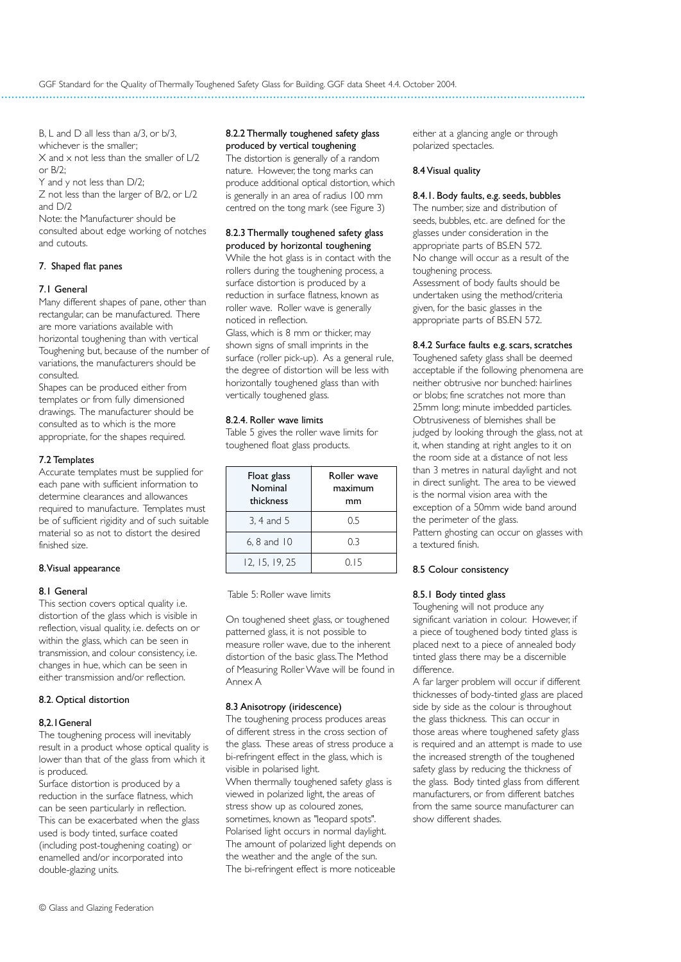B, L and D all less than  $a/3$ , or  $b/3$ , whichever is the smaller;  $X$  and  $x$  not less than the smaller of  $L/2$  $or B/2$ 

Y and y not less than D/2;

Z not less than the larger of B/2, or L/2 and D/2

Note: the Manufacturer should be consulted about edge working of notches and cutouts.

## 7. Shaped flat panes

## 7.1 General

Many different shapes of pane, other than rectangular, can be manufactured. There are more variations available with horizontal toughening than with vertical Toughening but, because of the number of variations, the manufacturers should be consulted.

Shapes can be produced either from templates or from fully dimensioned drawings. The manufacturer should be consulted as to which is the more appropriate, for the shapes required.

## 7.2 Templates

Accurate templates must be supplied for each pane with sufficient information to determine clearances and allowances required to manufacture. Templates must be of sufficient rigidity and of such suitable material so as not to distort the desired finished size.

## 8.Visual appearance

## 8.1 General

This section covers optical quality i.e. distortion of the glass which is visible in reflection, visual quality, i.e. defects on or within the glass, which can be seen in transmission, and colour consistency, i.e. changes in hue, which can be seen in either transmission and/or reflection.

## 8.2. Optical distortion

## 8,2.1General

The toughening process will inevitably result in a product whose optical quality is lower than that of the glass from which it is produced.

Surface distortion is produced by a reduction in the surface flatness, which can be seen particularly in reflection. This can be exacerbated when the glass used is body tinted, surface coated (including post-toughening coating) or enamelled and/or incorporated into double-glazing units.

## 8.2.2 Thermally toughened safety glass produced by vertical toughening

The distortion is generally of a random nature. However, the tong marks can produce additional optical distortion, which is generally in an area of radius 100 mm centred on the tong mark (see Figure 3)

#### 8.2.3 Thermally toughened safety glass produced by horizontal toughening

While the hot glass is in contact with the rollers during the toughening process, a surface distortion is produced by a reduction in surface flatness, known as roller wave. Roller wave is generally noticed in reflection. Glass, which is 8 mm or thicker, may shown signs of small imprints in the surface (roller pick-up). As a general rule, the degree of distortion will be less with horizontally toughened glass than with vertically toughened glass.

## 8.2.4. Roller wave limits

Table 5 gives the roller wave limits for toughened float glass products.

| Float glass<br>Nominal<br>thickness | Roller wave<br>maximum<br>mm |
|-------------------------------------|------------------------------|
| 3, 4 and 5                          | 0.5                          |
| $6, 8$ and $10$                     | 0.3                          |
| 12, 15, 19, 25                      | 0.15                         |

Table 5: Roller wave limits

On toughened sheet glass, or toughened patterned glass, it is not possible to measure roller wave, due to the inherent distortion of the basic glass.The Method of Measuring Roller Wave will be found in Annex A

## 8.3 Anisotropy (iridescence)

The toughening process produces areas of different stress in the cross section of the glass. These areas of stress produce a bi-refringent effect in the glass, which is visible in polarised light. When thermally toughened safety glass is viewed in polarized light, the areas of stress show up as coloured zones, sometimes, known as "leopard spots". Polarised light occurs in normal daylight. The amount of polarized light depends on the weather and the angle of the sun. The bi-refringent effect is more noticeable

either at a glancing angle or through polarized spectacles.

## 8.4 Visual quality

## 8.4.1. Body faults, e.g. seeds, bubbles

The number, size and distribution of seeds, bubbles, etc. are defined for the glasses under consideration in the appropriate parts of BS.EN 572. No change will occur as a result of the toughening process. Assessment of body faults should be undertaken using the method/criteria given, for the basic glasses in the appropriate parts of BS.EN 572.

## 8.4.2 Surface faults e.g. scars, scratches

Toughened safety glass shall be deemed acceptable if the following phenomena are neither obtrusive nor bunched: hairlines or blobs; fine scratches not more than 25mm long; minute imbedded particles. Obtrusiveness of blemishes shall be judged by looking through the glass, not at it, when standing at right angles to it on the room side at a distance of not less than 3 metres in natural daylight and not in direct sunlight. The area to be viewed is the normal vision area with the exception of a 50mm wide band around the perimeter of the glass. Pattern ghosting can occur on glasses with a textured finish.

## 8.5 Colour consistency

## 8.5.1 Body tinted glass

Toughening will not produce any significant variation in colour. However, if a piece of toughened body tinted glass is placed next to a piece of annealed body tinted glass there may be a discernible difference.

A far larger problem will occur if different thicknesses of body-tinted glass are placed side by side as the colour is throughout the glass thickness. This can occur in those areas where toughened safety glass is required and an attempt is made to use the increased strength of the toughened safety glass by reducing the thickness of the glass. Body tinted glass from different manufacturers, or from different batches from the same source manufacturer can show different shades.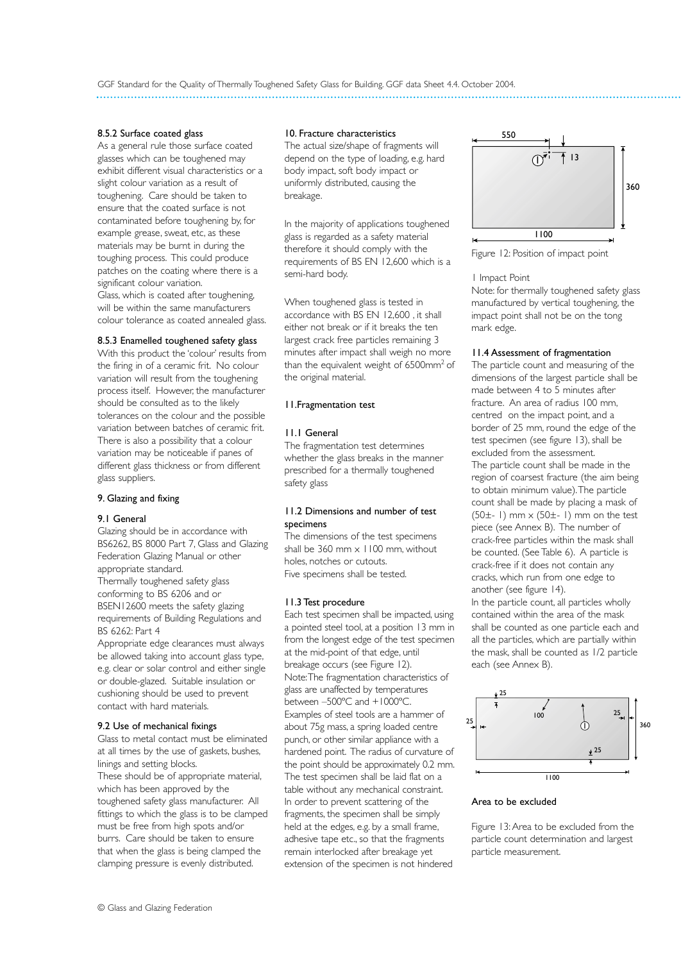## 8.5.2 Surface coated glass

As a general rule those surface coated glasses which can be toughened may exhibit different visual characteristics or a slight colour variation as a result of toughening. Care should be taken to ensure that the coated surface is not contaminated before toughening by, for example grease, sweat, etc, as these materials may be burnt in during the toughing process. This could produce patches on the coating where there is a significant colour variation. Glass, which is coated after toughening, will be within the same manufacturers colour tolerance as coated annealed glass.

## 8.5.3 Enamelled toughened safety glass

With this product the 'colour' results from the firing in of a ceramic frit. No colour variation will result from the toughening process itself. However, the manufacturer should be consulted as to the likely tolerances on the colour and the possible variation between batches of ceramic frit. There is also a possibility that a colour variation may be noticeable if panes of different glass thickness or from different glass suppliers.

## 9. Glazing and fixing

## 9.1 General

Glazing should be in accordance with BS6262, BS 8000 Part 7, Glass and Glazing Federation Glazing Manual or other appropriate standard. Thermally toughened safety glass conforming to BS 6206 and or BSEN12600 meets the safety glazing requirements of Building Regulations and BS 6262: Part 4

Appropriate edge clearances must always be allowed taking into account glass type, e.g. clear or solar control and either single or double-glazed. Suitable insulation or cushioning should be used to prevent contact with hard materials.

## 9.2 Use of mechanical fixings

Glass to metal contact must be eliminated at all times by the use of gaskets, bushes, linings and setting blocks. These should be of appropriate material, which has been approved by the toughened safety glass manufacturer. All fittings to which the glass is to be clamped must be free from high spots and/or burrs. Care should be taken to ensure that when the glass is being clamped the clamping pressure is evenly distributed.

#### 10. Fracture characteristics

The actual size/shape of fragments will depend on the type of loading, e.g. hard body impact, soft body impact or uniformly distributed, causing the breakage.

In the majority of applications toughened glass is regarded as a safety material therefore it should comply with the requirements of BS EN 12,600 which is a semi-hard body.

When toughened glass is tested in accordance with BS EN 12,600 , it shall either not break or if it breaks the ten largest crack free particles remaining 3 minutes after impact shall weigh no more than the equivalent weight of 6500mm2 of the original material.

## 11.Fragmentation test

## 11.1 General

The fragmentation test determines whether the glass breaks in the manner prescribed for a thermally toughened safety glass

## 11.2 Dimensions and number of test specimens

The dimensions of the test specimens shall be  $360$  mm  $\times$  1100 mm, without holes, notches or cutouts. Five specimens shall be tested.

## 11.3 Test procedure

Each test specimen shall be impacted, using a pointed steel tool, at a position 13 mm in from the longest edge of the test specimen at the mid-point of that edge, until breakage occurs (see Figure 12). Note:The fragmentation characteristics of glass are unaffected by temperatures between –500ºC and +1000ºC. Examples of steel tools are a hammer of about 75g mass, a spring loaded centre punch, or other similar appliance with a hardened point. The radius of curvature of the point should be approximately 0.2 mm. The test specimen shall be laid flat on a table without any mechanical constraint. In order to prevent scattering of the fragments, the specimen shall be simply held at the edges, e.g. by a small frame, adhesive tape etc., so that the fragments remain interlocked after breakage yet extension of the specimen is not hindered



Figure 12: Position of impact point

#### 1 Impact Point

Note: for thermally toughened safety glass manufactured by vertical toughening, the impact point shall not be on the tong mark edge.

### 11.4 Assessment of fragmentation

The particle count and measuring of the dimensions of the largest particle shall be made between 4 to 5 minutes after fracture. An area of radius 100 mm, centred on the impact point, and a border of 25 mm, round the edge of the test specimen (see figure 13), shall be excluded from the assessment. The particle count shall be made in the region of coarsest fracture (the aim being to obtain minimum value).The particle count shall be made by placing a mask of  $(50±-1)$  mm  $\times$   $(50±-1)$  mm on the test piece (see Annex B). The number of crack-free particles within the mask shall be counted. (See Table 6). A particle is crack-free if it does not contain any cracks, which run from one edge to another (see figure 14). In the particle count, all particles wholly contained within the area of the mask shall be counted as one particle each and all the particles, which are partially within the mask, shall be counted as 1/2 particle each (see Annex B).



## Area to be excluded

Figure 13: Area to be excluded from the particle count determination and largest particle measurement.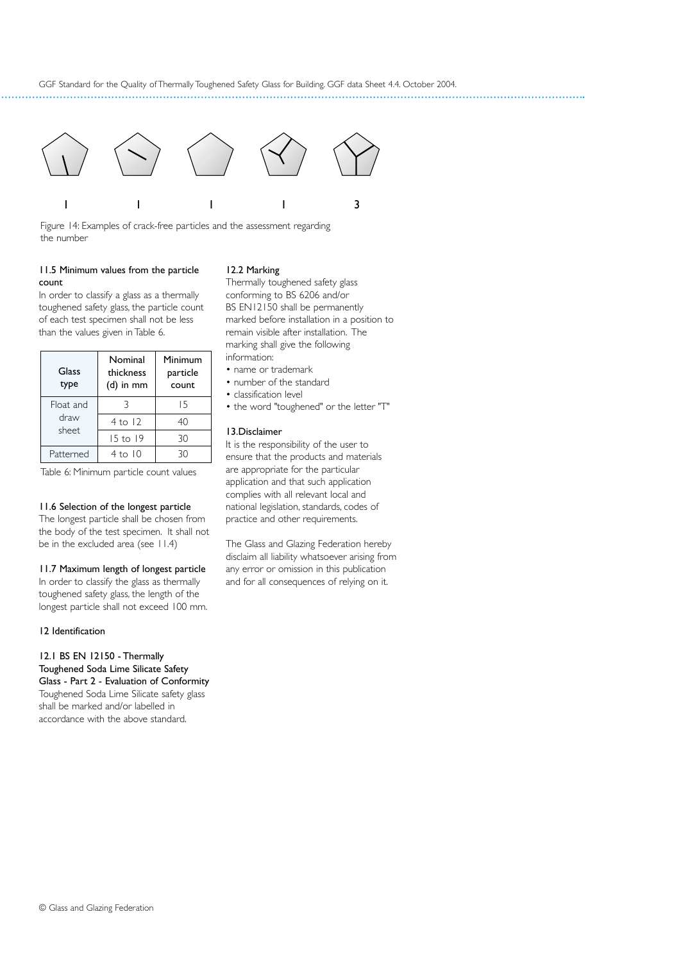

Figure 14: Examples of crack-free particles and the assessment regarding the number

## 11.5 Minimum values from the particle count

In order to classify a glass as a thermally toughened safety glass, the particle count of each test specimen shall not be less than the values given in Table 6.

| Glass<br>type              | Nominal<br>thickness<br>$(d)$ in mm | Minimum<br>particle<br>count |
|----------------------------|-------------------------------------|------------------------------|
| Float and<br>draw<br>sheet |                                     | 15                           |
|                            | $4$ to 12                           | 40                           |
|                            | 15 to 19                            | 30                           |
| Patterned                  | $4$ to $10$                         | 3Ο                           |

Table 6: Minimum particle count values

#### 11.6 Selection of the longest particle

The longest particle shall be chosen from the body of the test specimen. It shall not be in the excluded area (see 11.4)

#### 11.7 Maximum length of longest particle

In order to classify the glass as thermally toughened safety glass, the length of the longest particle shall not exceed 100 mm.

#### 12 Identification

12.1 BS EN 12150 - Thermally Toughened Soda Lime Silicate Safety Glass - Part 2 - Evaluation of Conformity Toughened Soda Lime Silicate safety glass shall be marked and/or labelled in

accordance with the above standard.

Thermally toughened safety glass

12.2 Marking

conforming to BS 6206 and/or BS EN12150 shall be permanently marked before installation in a position to remain visible after installation. The marking shall give the following information:

- name or trademark
- number of the standard
- classification level
- the word "toughened" or the letter "T"

#### 13.Disclaimer

It is the responsibility of the user to ensure that the products and materials are appropriate for the particular application and that such application complies with all relevant local and national legislation, standards, codes of practice and other requirements.

The Glass and Glazing Federation hereby disclaim all liability whatsoever arising from any error or omission in this publication and for all consequences of relying on it.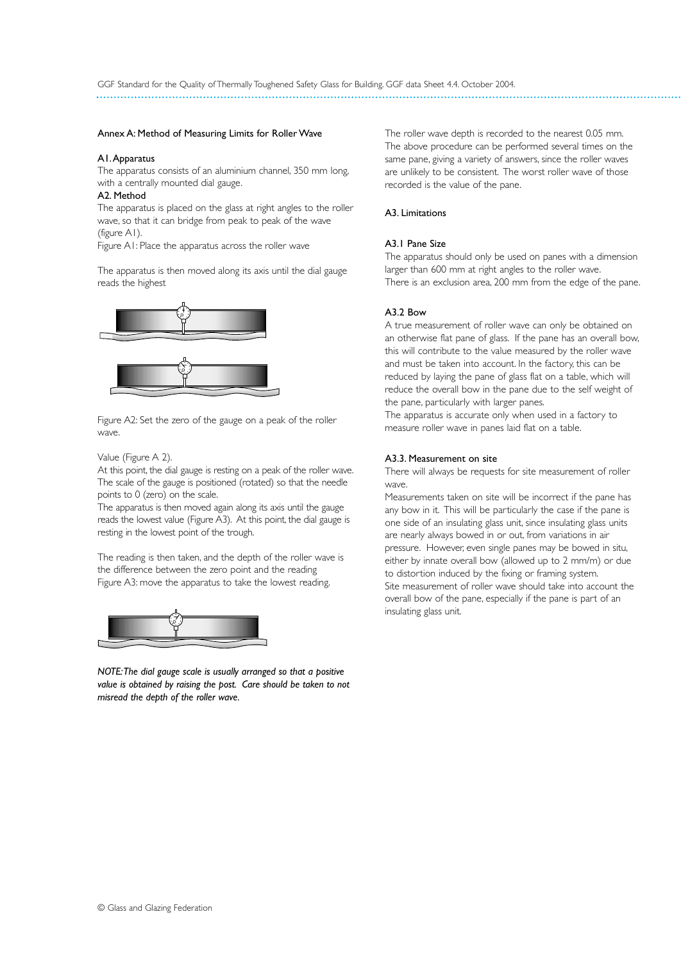#### Annex A: Method of Measuring Limits for Roller Wave

#### A1.Apparatus

The apparatus consists of an aluminium channel, 350 mm long, with a centrally mounted dial gauge.

#### A2. Method

The apparatus is placed on the glass at right angles to the roller wave, so that it can bridge from peak to peak of the wave (figure A1).

Figure A1: Place the apparatus across the roller wave

The apparatus is then moved along its axis until the dial gauge reads the highest



Figure A2: Set the zero of the gauge on a peak of the roller wave.

#### Value (Figure A 2).

At this point, the dial gauge is resting on a peak of the roller wave. The scale of the gauge is positioned (rotated) so that the needle points to 0 (zero) on the scale.

The apparatus is then moved again along its axis until the gauge reads the lowest value (Figure A3). At this point, the dial gauge is resting in the lowest point of the trough.

The reading is then taken, and the depth of the roller wave is the difference between the zero point and the reading Figure A3: move the apparatus to take the lowest reading.



*NOTE:The dial gauge scale is usually arranged so that a positive value is obtained by raising the post. Care should be taken to not misread the depth of the roller wave.*

The roller wave depth is recorded to the nearest 0.05 mm. The above procedure can be performed several times on the same pane, giving a variety of answers, since the roller waves are unlikely to be consistent. The worst roller wave of those recorded is the value of the pane.

### A3. Limitations

#### A3.1 Pane Size

The apparatus should only be used on panes with a dimension larger than 600 mm at right angles to the roller wave. There is an exclusion area, 200 mm from the edge of the pane.

#### A3.2 Bow

A true measurement of roller wave can only be obtained on an otherwise flat pane of glass. If the pane has an overall bow, this will contribute to the value measured by the roller wave and must be taken into account. In the factory, this can be reduced by laying the pane of glass flat on a table, which will reduce the overall bow in the pane due to the self weight of the pane, particularly with larger panes.

The apparatus is accurate only when used in a factory to measure roller wave in panes laid flat on a table.

#### A3.3. Measurement on site

There will always be requests for site measurement of roller wave.

Measurements taken on site will be incorrect if the pane has any bow in it. This will be particularly the case if the pane is one side of an insulating glass unit, since insulating glass units are nearly always bowed in or out, from variations in air pressure. However, even single panes may be bowed in situ, either by innate overall bow (allowed up to 2 mm/m) or due to distortion induced by the fixing or framing system. Site measurement of roller wave should take into account the overall bow of the pane, especially if the pane is part of an insulating glass unit.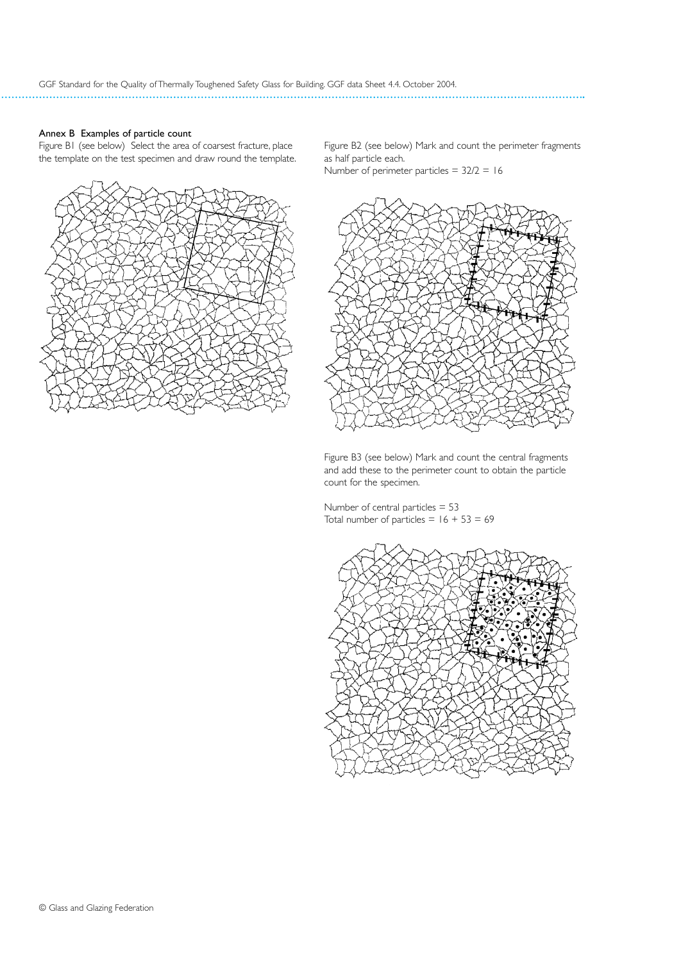## Annex B Examples of particle count

Figure B1 (see below) Select the area of coarsest fracture, place the template on the test specimen and draw round the template.



Figure B2 (see below) Mark and count the perimeter fragments as half particle each.

Number of perimeter particles =  $32/2 = 16$ 



Figure B3 (see below) Mark and count the central fragments and add these to the perimeter count to obtain the particle count for the specimen.

Number of central particles = 53 Total number of particles  $= 16 + 53 = 69$